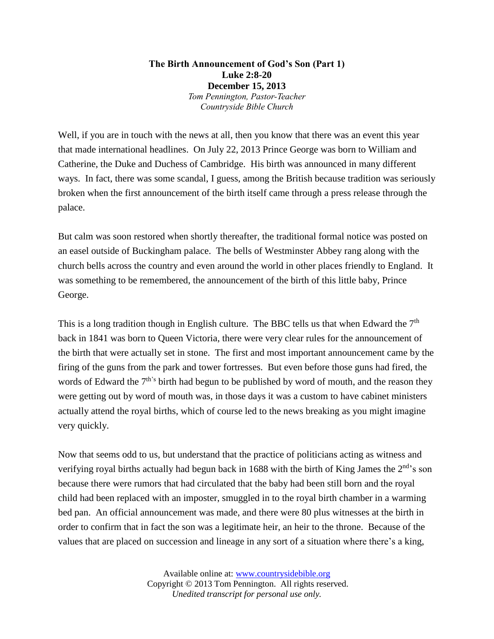## **The Birth Announcement of God's Son (Part 1) Luke 2:8-20 December 15, 2013** *Tom Pennington, Pastor-Teacher Countryside Bible Church*

Well, if you are in touch with the news at all, then you know that there was an event this year that made international headlines. On July 22, 2013 Prince George was born to William and Catherine, the Duke and Duchess of Cambridge. His birth was announced in many different ways. In fact, there was some scandal, I guess, among the British because tradition was seriously broken when the first announcement of the birth itself came through a press release through the palace.

But calm was soon restored when shortly thereafter, the traditional formal notice was posted on an easel outside of Buckingham palace. The bells of Westminster Abbey rang along with the church bells across the country and even around the world in other places friendly to England. It was something to be remembered, the announcement of the birth of this little baby, Prince George.

This is a long tradition though in English culture. The BBC tells us that when Edward the  $7<sup>th</sup>$ back in 1841 was born to Queen Victoria, there were very clear rules for the announcement of the birth that were actually set in stone. The first and most important announcement came by the firing of the guns from the park and tower fortresses. But even before those guns had fired, the words of Edward the  $7<sup>th's</sup>$  birth had begun to be published by word of mouth, and the reason they were getting out by word of mouth was, in those days it was a custom to have cabinet ministers actually attend the royal births, which of course led to the news breaking as you might imagine very quickly.

Now that seems odd to us, but understand that the practice of politicians acting as witness and verifying royal births actually had begun back in 1688 with the birth of King James the  $2<sup>nd</sup>$ 's son because there were rumors that had circulated that the baby had been still born and the royal child had been replaced with an imposter, smuggled in to the royal birth chamber in a warming bed pan. An official announcement was made, and there were 80 plus witnesses at the birth in order to confirm that in fact the son was a legitimate heir, an heir to the throne. Because of the values that are placed on succession and lineage in any sort of a situation where there's a king,

> Available online at: [www.countrysidebible.org](http://www.countrysidebible.org/) Copyright © 2013 Tom Pennington. All rights reserved. *Unedited transcript for personal use only.*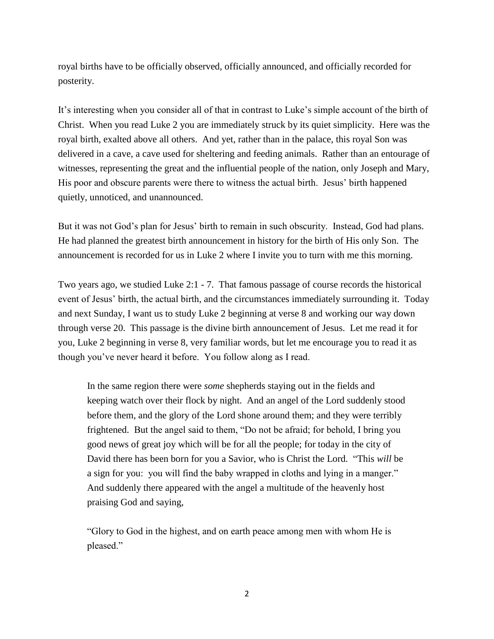royal births have to be officially observed, officially announced, and officially recorded for posterity.

It's interesting when you consider all of that in contrast to Luke's simple account of the birth of Christ. When you read Luke 2 you are immediately struck by its quiet simplicity. Here was the royal birth, exalted above all others. And yet, rather than in the palace, this royal Son was delivered in a cave, a cave used for sheltering and feeding animals. Rather than an entourage of witnesses, representing the great and the influential people of the nation, only Joseph and Mary, His poor and obscure parents were there to witness the actual birth. Jesus' birth happened quietly, unnoticed, and unannounced.

But it was not God's plan for Jesus' birth to remain in such obscurity. Instead, God had plans. He had planned the greatest birth announcement in history for the birth of His only Son. The announcement is recorded for us in Luke 2 where I invite you to turn with me this morning.

Two years ago, we studied Luke 2:1 - 7. That famous passage of course records the historical event of Jesus' birth, the actual birth, and the circumstances immediately surrounding it. Today and next Sunday, I want us to study Luke 2 beginning at verse 8 and working our way down through verse 20. This passage is the divine birth announcement of Jesus. Let me read it for you, Luke 2 beginning in verse 8, very familiar words, but let me encourage you to read it as though you've never heard it before. You follow along as I read.

In the same region there were *some* shepherds staying out in the fields and keeping watch over their flock by night. And an angel of the Lord suddenly stood before them, and the glory of the Lord shone around them; and they were terribly frightened. But the angel said to them, "Do not be afraid; for behold, I bring you good news of great joy which will be for all the people; for today in the city of David there has been born for you a Savior, who is Christ the Lord. "This *will* be a sign for you: you will find the baby wrapped in cloths and lying in a manger." And suddenly there appeared with the angel a multitude of the heavenly host praising God and saying,

"Glory to God in the highest, and on earth peace among men with whom He is pleased."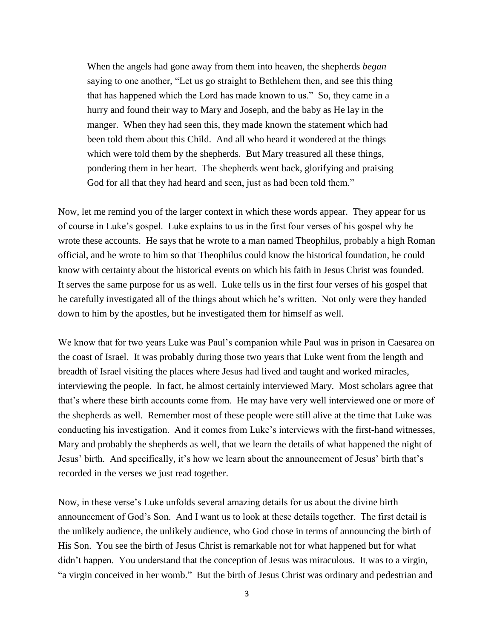When the angels had gone away from them into heaven, the shepherds *began* saying to one another, "Let us go straight to Bethlehem then, and see this thing that has happened which the Lord has made known to us." So, they came in a hurry and found their way to Mary and Joseph, and the baby as He lay in the manger. When they had seen this, they made known the statement which had been told them about this Child. And all who heard it wondered at the things which were told them by the shepherds. But Mary treasured all these things, pondering them in her heart. The shepherds went back, glorifying and praising God for all that they had heard and seen, just as had been told them."

Now, let me remind you of the larger context in which these words appear. They appear for us of course in Luke's gospel. Luke explains to us in the first four verses of his gospel why he wrote these accounts. He says that he wrote to a man named Theophilus, probably a high Roman official, and he wrote to him so that Theophilus could know the historical foundation, he could know with certainty about the historical events on which his faith in Jesus Christ was founded. It serves the same purpose for us as well. Luke tells us in the first four verses of his gospel that he carefully investigated all of the things about which he's written. Not only were they handed down to him by the apostles, but he investigated them for himself as well.

We know that for two years Luke was Paul's companion while Paul was in prison in Caesarea on the coast of Israel. It was probably during those two years that Luke went from the length and breadth of Israel visiting the places where Jesus had lived and taught and worked miracles, interviewing the people. In fact, he almost certainly interviewed Mary. Most scholars agree that that's where these birth accounts come from. He may have very well interviewed one or more of the shepherds as well. Remember most of these people were still alive at the time that Luke was conducting his investigation. And it comes from Luke's interviews with the first-hand witnesses, Mary and probably the shepherds as well, that we learn the details of what happened the night of Jesus' birth. And specifically, it's how we learn about the announcement of Jesus' birth that's recorded in the verses we just read together.

Now, in these verse's Luke unfolds several amazing details for us about the divine birth announcement of God's Son. And I want us to look at these details together. The first detail is the unlikely audience, the unlikely audience, who God chose in terms of announcing the birth of His Son. You see the birth of Jesus Christ is remarkable not for what happened but for what didn't happen. You understand that the conception of Jesus was miraculous. It was to a virgin, "a virgin conceived in her womb." But the birth of Jesus Christ was ordinary and pedestrian and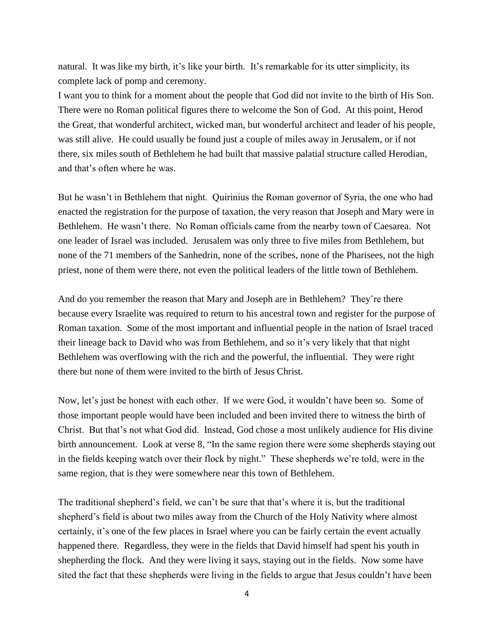natural. It was like my birth, it's like your birth. It's remarkable for its utter simplicity, its complete lack of pomp and ceremony.

I want you to think for a moment about the people that God did not invite to the birth of His Son. There were no Roman political figures there to welcome the Son of God. At this point, Herod the Great, that wonderful architect, wicked man, but wonderful architect and leader of his people, was still alive. He could usually be found just a couple of miles away in Jerusalem, or if not there, six miles south of Bethlehem he had built that massive palatial structure called Herodian, and that's often where he was.

But he wasn't in Bethlehem that night. Quirinius the Roman governor of Syria, the one who had enacted the registration for the purpose of taxation, the very reason that Joseph and Mary were in Bethlehem. He wasn't there. No Roman officials came from the nearby town of Caesarea. Not one leader of Israel was included. Jerusalem was only three to five miles from Bethlehem, but none of the 71 members of the Sanhedrin, none of the scribes, none of the Pharisees, not the high priest, none of them were there, not even the political leaders of the little town of Bethlehem.

And do you remember the reason that Mary and Joseph are in Bethlehem? They're there because every Israelite was required to return to his ancestral town and register for the purpose of Roman taxation. Some of the most important and influential people in the nation of Israel traced their lineage back to David who was from Bethlehem, and so it's very likely that that night Bethlehem was overflowing with the rich and the powerful, the influential. They were right there but none of them were invited to the birth of Jesus Christ.

Now, let's just be honest with each other. If we were God, it wouldn't have been so. Some of those important people would have been included and been invited there to witness the birth of Christ. But that's not what God did. Instead, God chose a most unlikely audience for His divine birth announcement. Look at verse 8, "In the same region there were some shepherds staying out in the fields keeping watch over their flock by night." These shepherds we're told, were in the same region, that is they were somewhere near this town of Bethlehem.

The traditional shepherd's field, we can't be sure that that's where it is, but the traditional shepherd's field is about two miles away from the Church of the Holy Nativity where almost certainly, it's one of the few places in Israel where you can be fairly certain the event actually happened there. Regardless, they were in the fields that David himself had spent his youth in shepherding the flock. And they were living it says, staying out in the fields. Now some have sited the fact that these shepherds were living in the fields to argue that Jesus couldn't have been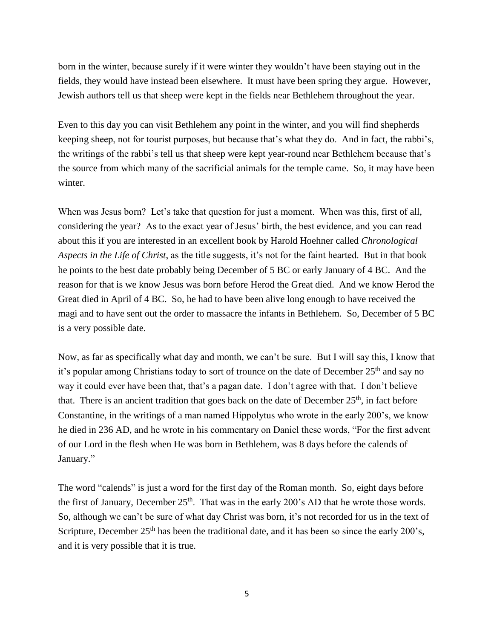born in the winter, because surely if it were winter they wouldn't have been staying out in the fields, they would have instead been elsewhere. It must have been spring they argue. However, Jewish authors tell us that sheep were kept in the fields near Bethlehem throughout the year.

Even to this day you can visit Bethlehem any point in the winter, and you will find shepherds keeping sheep, not for tourist purposes, but because that's what they do. And in fact, the rabbi's, the writings of the rabbi's tell us that sheep were kept year-round near Bethlehem because that's the source from which many of the sacrificial animals for the temple came. So, it may have been winter.

When was Jesus born? Let's take that question for just a moment. When was this, first of all, considering the year? As to the exact year of Jesus' birth, the best evidence, and you can read about this if you are interested in an excellent book by Harold Hoehner called *Chronological Aspects in the Life of Christ*, as the title suggests, it's not for the faint hearted. But in that book he points to the best date probably being December of 5 BC or early January of 4 BC. And the reason for that is we know Jesus was born before Herod the Great died. And we know Herod the Great died in April of 4 BC. So, he had to have been alive long enough to have received the magi and to have sent out the order to massacre the infants in Bethlehem. So, December of 5 BC is a very possible date.

Now, as far as specifically what day and month, we can't be sure. But I will say this, I know that it's popular among Christians today to sort of trounce on the date of December 25<sup>th</sup> and say no way it could ever have been that, that's a pagan date. I don't agree with that. I don't believe that. There is an ancient tradition that goes back on the date of December  $25<sup>th</sup>$ , in fact before Constantine, in the writings of a man named Hippolytus who wrote in the early 200's, we know he died in 236 AD, and he wrote in his commentary on Daniel these words, "For the first advent of our Lord in the flesh when He was born in Bethlehem, was 8 days before the calends of January."

The word "calends" is just a word for the first day of the Roman month. So, eight days before the first of January, December  $25<sup>th</sup>$ . That was in the early  $200$ 's AD that he wrote those words. So, although we can't be sure of what day Christ was born, it's not recorded for us in the text of Scripture, December  $25<sup>th</sup>$  has been the traditional date, and it has been so since the early  $200$ 's, and it is very possible that it is true.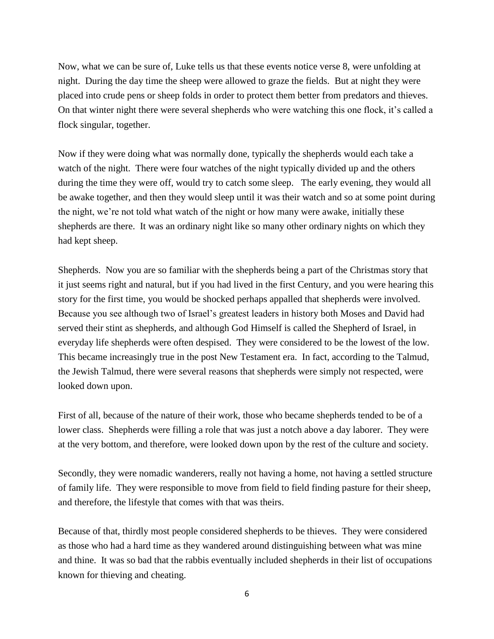Now, what we can be sure of, Luke tells us that these events notice verse 8, were unfolding at night. During the day time the sheep were allowed to graze the fields. But at night they were placed into crude pens or sheep folds in order to protect them better from predators and thieves. On that winter night there were several shepherds who were watching this one flock, it's called a flock singular, together.

Now if they were doing what was normally done, typically the shepherds would each take a watch of the night. There were four watches of the night typically divided up and the others during the time they were off, would try to catch some sleep. The early evening, they would all be awake together, and then they would sleep until it was their watch and so at some point during the night, we're not told what watch of the night or how many were awake, initially these shepherds are there. It was an ordinary night like so many other ordinary nights on which they had kept sheep.

Shepherds. Now you are so familiar with the shepherds being a part of the Christmas story that it just seems right and natural, but if you had lived in the first Century, and you were hearing this story for the first time, you would be shocked perhaps appalled that shepherds were involved. Because you see although two of Israel's greatest leaders in history both Moses and David had served their stint as shepherds, and although God Himself is called the Shepherd of Israel, in everyday life shepherds were often despised. They were considered to be the lowest of the low. This became increasingly true in the post New Testament era. In fact, according to the Talmud, the Jewish Talmud, there were several reasons that shepherds were simply not respected, were looked down upon.

First of all, because of the nature of their work, those who became shepherds tended to be of a lower class. Shepherds were filling a role that was just a notch above a day laborer. They were at the very bottom, and therefore, were looked down upon by the rest of the culture and society.

Secondly, they were nomadic wanderers, really not having a home, not having a settled structure of family life. They were responsible to move from field to field finding pasture for their sheep, and therefore, the lifestyle that comes with that was theirs.

Because of that, thirdly most people considered shepherds to be thieves. They were considered as those who had a hard time as they wandered around distinguishing between what was mine and thine. It was so bad that the rabbis eventually included shepherds in their list of occupations known for thieving and cheating.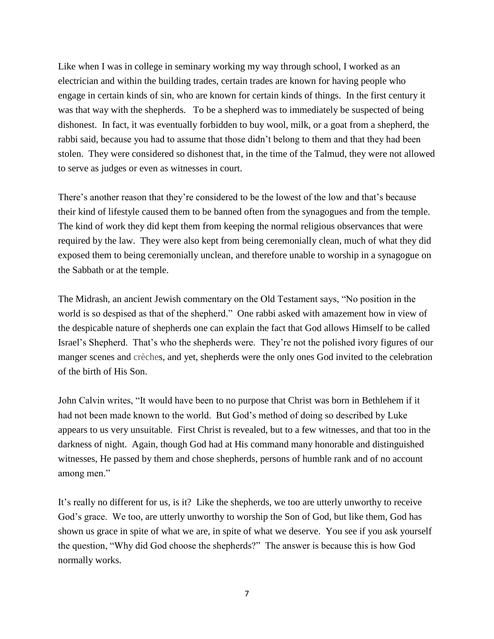Like when I was in college in seminary working my way through school, I worked as an electrician and within the building trades, certain trades are known for having people who engage in certain kinds of sin, who are known for certain kinds of things. In the first century it was that way with the shepherds. To be a shepherd was to immediately be suspected of being dishonest. In fact, it was eventually forbidden to buy wool, milk, or a goat from a shepherd, the rabbi said, because you had to assume that those didn't belong to them and that they had been stolen. They were considered so dishonest that, in the time of the Talmud, they were not allowed to serve as judges or even as witnesses in court.

There's another reason that they're considered to be the lowest of the low and that's because their kind of lifestyle caused them to be banned often from the synagogues and from the temple. The kind of work they did kept them from keeping the normal religious observances that were required by the law. They were also kept from being ceremonially clean, much of what they did exposed them to being ceremonially unclean, and therefore unable to worship in a synagogue on the Sabbath or at the temple.

The Midrash, an ancient Jewish commentary on the Old Testament says, "No position in the world is so despised as that of the shepherd." One rabbi asked with amazement how in view of the despicable nature of shepherds one can explain the fact that God allows Himself to be called Israel's Shepherd. That's who the shepherds were. They're not the polished ivory figures of our manger scenes and crèches, and yet, shepherds were the only ones God invited to the celebration of the birth of His Son.

John Calvin writes, "It would have been to no purpose that Christ was born in Bethlehem if it had not been made known to the world. But God's method of doing so described by Luke appears to us very unsuitable. First Christ is revealed, but to a few witnesses, and that too in the darkness of night. Again, though God had at His command many honorable and distinguished witnesses, He passed by them and chose shepherds, persons of humble rank and of no account among men."

It's really no different for us, is it? Like the shepherds, we too are utterly unworthy to receive God's grace. We too, are utterly unworthy to worship the Son of God, but like them, God has shown us grace in spite of what we are, in spite of what we deserve. You see if you ask yourself the question, "Why did God choose the shepherds?" The answer is because this is how God normally works.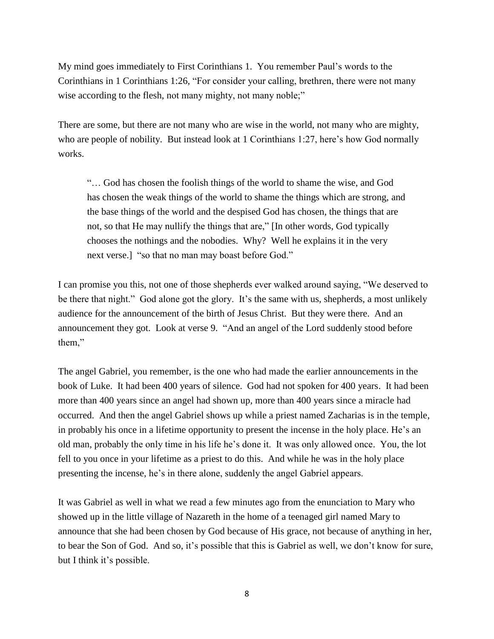My mind goes immediately to First Corinthians 1. You remember Paul's words to the Corinthians in 1 Corinthians 1:26, "For consider your calling, brethren, there were not many wise according to the flesh, not many mighty, not many noble;"

There are some, but there are not many who are wise in the world, not many who are mighty, who are people of nobility. But instead look at 1 Corinthians 1:27, here's how God normally works.

"… God has chosen the foolish things of the world to shame the wise, and God has chosen the weak things of the world to shame the things which are strong, and the base things of the world and the despised God has chosen, the things that are not, so that He may nullify the things that are," [In other words, God typically chooses the nothings and the nobodies. Why? Well he explains it in the very next verse.] "so that no man may boast before God."

I can promise you this, not one of those shepherds ever walked around saying, "We deserved to be there that night." God alone got the glory. It's the same with us, shepherds, a most unlikely audience for the announcement of the birth of Jesus Christ. But they were there. And an announcement they got. Look at verse 9. "And an angel of the Lord suddenly stood before them,"

The angel Gabriel, you remember, is the one who had made the earlier announcements in the book of Luke. It had been 400 years of silence. God had not spoken for 400 years. It had been more than 400 years since an angel had shown up, more than 400 years since a miracle had occurred. And then the angel Gabriel shows up while a priest named Zacharias is in the temple, in probably his once in a lifetime opportunity to present the incense in the holy place. He's an old man, probably the only time in his life he's done it. It was only allowed once. You, the lot fell to you once in your lifetime as a priest to do this. And while he was in the holy place presenting the incense, he's in there alone, suddenly the angel Gabriel appears.

It was Gabriel as well in what we read a few minutes ago from the enunciation to Mary who showed up in the little village of Nazareth in the home of a teenaged girl named Mary to announce that she had been chosen by God because of His grace, not because of anything in her, to bear the Son of God. And so, it's possible that this is Gabriel as well, we don't know for sure, but I think it's possible.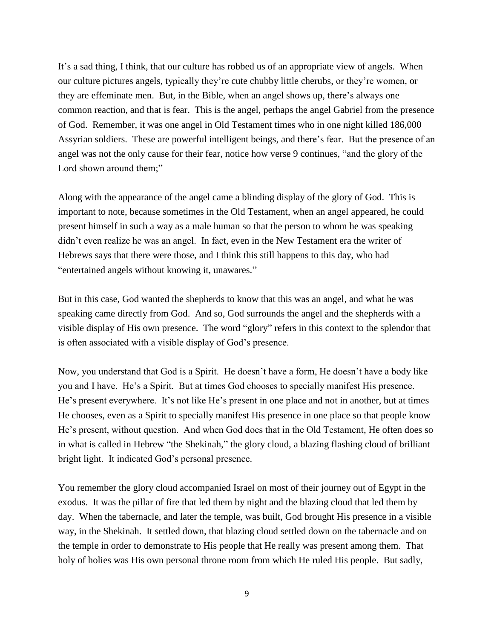It's a sad thing, I think, that our culture has robbed us of an appropriate view of angels. When our culture pictures angels, typically they're cute chubby little cherubs, or they're women, or they are effeminate men. But, in the Bible, when an angel shows up, there's always one common reaction, and that is fear. This is the angel, perhaps the angel Gabriel from the presence of God. Remember, it was one angel in Old Testament times who in one night killed 186,000 Assyrian soldiers. These are powerful intelligent beings, and there's fear. But the presence of an angel was not the only cause for their fear, notice how verse 9 continues, "and the glory of the Lord shown around them;"

Along with the appearance of the angel came a blinding display of the glory of God. This is important to note, because sometimes in the Old Testament, when an angel appeared, he could present himself in such a way as a male human so that the person to whom he was speaking didn't even realize he was an angel. In fact, even in the New Testament era the writer of Hebrews says that there were those, and I think this still happens to this day, who had "entertained angels without knowing it, unawares."

But in this case, God wanted the shepherds to know that this was an angel, and what he was speaking came directly from God. And so, God surrounds the angel and the shepherds with a visible display of His own presence. The word "glory" refers in this context to the splendor that is often associated with a visible display of God's presence.

Now, you understand that God is a Spirit. He doesn't have a form, He doesn't have a body like you and I have. He's a Spirit. But at times God chooses to specially manifest His presence. He's present everywhere. It's not like He's present in one place and not in another, but at times He chooses, even as a Spirit to specially manifest His presence in one place so that people know He's present, without question. And when God does that in the Old Testament, He often does so in what is called in Hebrew "the Shekinah," the glory cloud, a blazing flashing cloud of brilliant bright light. It indicated God's personal presence.

You remember the glory cloud accompanied Israel on most of their journey out of Egypt in the exodus. It was the pillar of fire that led them by night and the blazing cloud that led them by day. When the tabernacle, and later the temple, was built, God brought His presence in a visible way, in the Shekinah. It settled down, that blazing cloud settled down on the tabernacle and on the temple in order to demonstrate to His people that He really was present among them. That holy of holies was His own personal throne room from which He ruled His people. But sadly,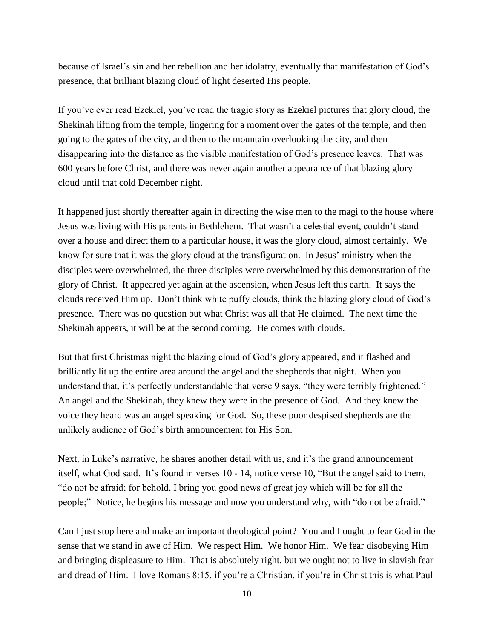because of Israel's sin and her rebellion and her idolatry, eventually that manifestation of God's presence, that brilliant blazing cloud of light deserted His people.

If you've ever read Ezekiel, you've read the tragic story as Ezekiel pictures that glory cloud, the Shekinah lifting from the temple, lingering for a moment over the gates of the temple, and then going to the gates of the city, and then to the mountain overlooking the city, and then disappearing into the distance as the visible manifestation of God's presence leaves. That was 600 years before Christ, and there was never again another appearance of that blazing glory cloud until that cold December night.

It happened just shortly thereafter again in directing the wise men to the magi to the house where Jesus was living with His parents in Bethlehem. That wasn't a celestial event, couldn't stand over a house and direct them to a particular house, it was the glory cloud, almost certainly. We know for sure that it was the glory cloud at the transfiguration. In Jesus' ministry when the disciples were overwhelmed, the three disciples were overwhelmed by this demonstration of the glory of Christ. It appeared yet again at the ascension, when Jesus left this earth. It says the clouds received Him up. Don't think white puffy clouds, think the blazing glory cloud of God's presence. There was no question but what Christ was all that He claimed. The next time the Shekinah appears, it will be at the second coming. He comes with clouds.

But that first Christmas night the blazing cloud of God's glory appeared, and it flashed and brilliantly lit up the entire area around the angel and the shepherds that night. When you understand that, it's perfectly understandable that verse 9 says, "they were terribly frightened." An angel and the Shekinah, they knew they were in the presence of God. And they knew the voice they heard was an angel speaking for God. So, these poor despised shepherds are the unlikely audience of God's birth announcement for His Son.

Next, in Luke's narrative, he shares another detail with us, and it's the grand announcement itself, what God said. It's found in verses 10 - 14, notice verse 10, "But the angel said to them, "do not be afraid; for behold, I bring you good news of great joy which will be for all the people;" Notice, he begins his message and now you understand why, with "do not be afraid."

Can I just stop here and make an important theological point? You and I ought to fear God in the sense that we stand in awe of Him. We respect Him. We honor Him. We fear disobeying Him and bringing displeasure to Him. That is absolutely right, but we ought not to live in slavish fear and dread of Him. I love Romans 8:15, if you're a Christian, if you're in Christ this is what Paul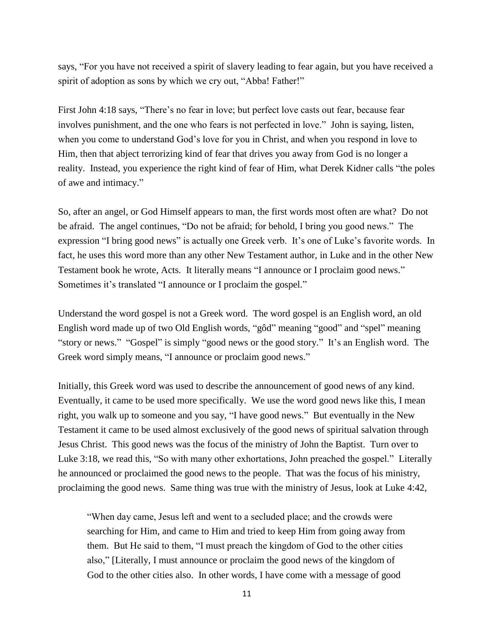says, "For you have not received a spirit of slavery leading to fear again, but you have received a spirit of adoption as sons by which we cry out, "Abba! Father!"

First John 4:18 says, "There's no fear in love; but perfect love casts out fear, because fear involves punishment, and the one who fears is not perfected in love." John is saying, listen, when you come to understand God's love for you in Christ, and when you respond in love to Him, then that abject terrorizing kind of fear that drives you away from God is no longer a reality. Instead, you experience the right kind of fear of Him, what Derek Kidner calls "the poles of awe and intimacy."

So, after an angel, or God Himself appears to man, the first words most often are what? Do not be afraid. The angel continues, "Do not be afraid; for behold, I bring you good news." The expression "I bring good news" is actually one Greek verb. It's one of Luke's favorite words. In fact, he uses this word more than any other New Testament author, in Luke and in the other New Testament book he wrote, Acts. It literally means "I announce or I proclaim good news." Sometimes it's translated "I announce or I proclaim the gospel."

Understand the word gospel is not a Greek word. The word gospel is an English word, an old English word made up of two Old English words, "gôd" meaning "good" and "spel" meaning "story or news." "Gospel" is simply "good news or the good story." It's an English word. The Greek word simply means, "I announce or proclaim good news."

Initially, this Greek word was used to describe the announcement of good news of any kind. Eventually, it came to be used more specifically. We use the word good news like this, I mean right, you walk up to someone and you say, "I have good news." But eventually in the New Testament it came to be used almost exclusively of the good news of spiritual salvation through Jesus Christ. This good news was the focus of the ministry of John the Baptist. Turn over to Luke 3:18, we read this, "So with many other exhortations, John preached the gospel." Literally he announced or proclaimed the good news to the people. That was the focus of his ministry, proclaiming the good news. Same thing was true with the ministry of Jesus, look at Luke 4:42,

"When day came, Jesus left and went to a secluded place; and the crowds were searching for Him, and came to Him and tried to keep Him from going away from them. But He said to them, "I must preach the kingdom of God to the other cities also," [Literally, I must announce or proclaim the good news of the kingdom of God to the other cities also. In other words, I have come with a message of good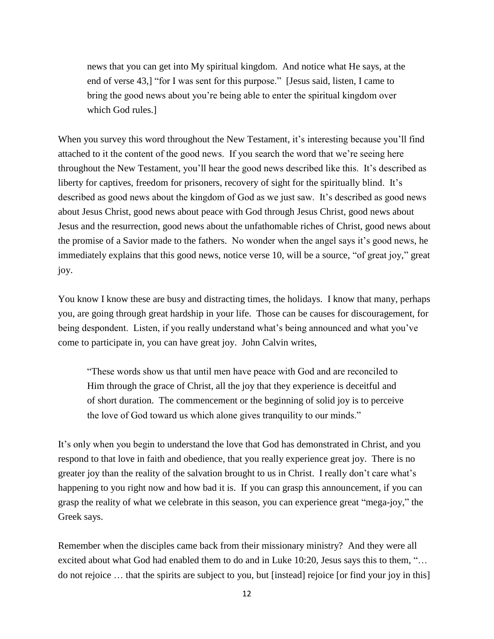news that you can get into My spiritual kingdom. And notice what He says, at the end of verse 43,] "for I was sent for this purpose." [Jesus said, listen, I came to bring the good news about you're being able to enter the spiritual kingdom over which God rules.]

When you survey this word throughout the New Testament, it's interesting because you'll find attached to it the content of the good news. If you search the word that we're seeing here throughout the New Testament, you'll hear the good news described like this. It's described as liberty for captives, freedom for prisoners, recovery of sight for the spiritually blind. It's described as good news about the kingdom of God as we just saw. It's described as good news about Jesus Christ, good news about peace with God through Jesus Christ, good news about Jesus and the resurrection, good news about the unfathomable riches of Christ, good news about the promise of a Savior made to the fathers. No wonder when the angel says it's good news, he immediately explains that this good news, notice verse 10, will be a source, "of great joy," great joy.

You know I know these are busy and distracting times, the holidays. I know that many, perhaps you, are going through great hardship in your life. Those can be causes for discouragement, for being despondent. Listen, if you really understand what's being announced and what you've come to participate in, you can have great joy. John Calvin writes,

"These words show us that until men have peace with God and are reconciled to Him through the grace of Christ, all the joy that they experience is deceitful and of short duration. The commencement or the beginning of solid joy is to perceive the love of God toward us which alone gives tranquility to our minds."

It's only when you begin to understand the love that God has demonstrated in Christ, and you respond to that love in faith and obedience, that you really experience great joy. There is no greater joy than the reality of the salvation brought to us in Christ. I really don't care what's happening to you right now and how bad it is. If you can grasp this announcement, if you can grasp the reality of what we celebrate in this season, you can experience great "mega-joy," the Greek says.

Remember when the disciples came back from their missionary ministry? And they were all excited about what God had enabled them to do and in Luke 10:20, Jesus says this to them, "… do not rejoice … that the spirits are subject to you, but [instead] rejoice [or find your joy in this]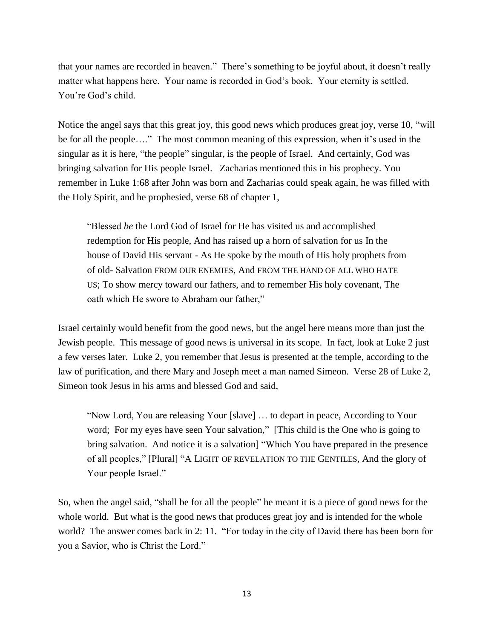that your names are recorded in heaven." There's something to be joyful about, it doesn't really matter what happens here. Your name is recorded in God's book. Your eternity is settled. You're God's child.

Notice the angel says that this great joy, this good news which produces great joy, verse 10, "will be for all the people…." The most common meaning of this expression, when it's used in the singular as it is here, "the people" singular, is the people of Israel. And certainly, God was bringing salvation for His people Israel. Zacharias mentioned this in his prophecy. You remember in Luke 1:68 after John was born and Zacharias could speak again, he was filled with the Holy Spirit, and he prophesied, verse 68 of chapter 1,

"Blessed *be* the Lord God of Israel for He has visited us and accomplished redemption for His people, And has raised up a horn of salvation for us In the house of David His servant - As He spoke by the mouth of His holy prophets from of old- Salvation FROM OUR ENEMIES, And FROM THE HAND OF ALL WHO HATE US; To show mercy toward our fathers, and to remember His holy covenant, The oath which He swore to Abraham our father,"

Israel certainly would benefit from the good news, but the angel here means more than just the Jewish people. This message of good news is universal in its scope. In fact, look at Luke 2 just a few verses later. Luke 2, you remember that Jesus is presented at the temple, according to the law of purification, and there Mary and Joseph meet a man named Simeon. Verse 28 of Luke 2, Simeon took Jesus in his arms and blessed God and said,

"Now Lord, You are releasing Your [slave] … to depart in peace, According to Your word; For my eyes have seen Your salvation," [This child is the One who is going to bring salvation. And notice it is a salvation] "Which You have prepared in the presence of all peoples," [Plural] "A LIGHT OF REVELATION TO THE GENTILES, And the glory of Your people Israel."

So, when the angel said, "shall be for all the people" he meant it is a piece of good news for the whole world. But what is the good news that produces great joy and is intended for the whole world? The answer comes back in 2: 11. "For today in the city of David there has been born for you a Savior, who is Christ the Lord."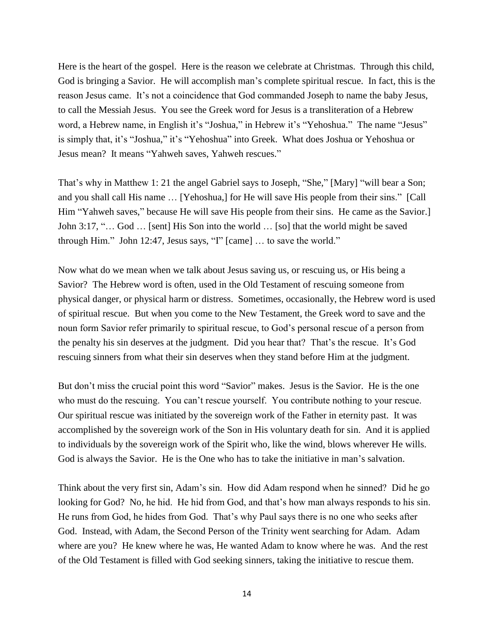Here is the heart of the gospel. Here is the reason we celebrate at Christmas. Through this child, God is bringing a Savior. He will accomplish man's complete spiritual rescue. In fact, this is the reason Jesus came. It's not a coincidence that God commanded Joseph to name the baby Jesus, to call the Messiah Jesus. You see the Greek word for Jesus is a transliteration of a Hebrew word, a Hebrew name, in English it's "Joshua," in Hebrew it's "Yehoshua." The name "Jesus" is simply that, it's "Joshua," it's "Yehoshua" into Greek. What does Joshua or Yehoshua or Jesus mean? It means "Yahweh saves, Yahweh rescues."

That's why in Matthew 1: 21 the angel Gabriel says to Joseph, "She," [Mary] "will bear a Son; and you shall call His name … [Yehoshua,] for He will save His people from their sins." [Call Him "Yahweh saves," because He will save His people from their sins. He came as the Savior. John 3:17, "… God … [sent] His Son into the world … [so] that the world might be saved through Him." John 12:47, Jesus says, "I" [came] … to save the world."

Now what do we mean when we talk about Jesus saving us, or rescuing us, or His being a Savior? The Hebrew word is often, used in the Old Testament of rescuing someone from physical danger, or physical harm or distress. Sometimes, occasionally, the Hebrew word is used of spiritual rescue. But when you come to the New Testament, the Greek word to save and the noun form Savior refer primarily to spiritual rescue, to God's personal rescue of a person from the penalty his sin deserves at the judgment. Did you hear that? That's the rescue. It's God rescuing sinners from what their sin deserves when they stand before Him at the judgment.

But don't miss the crucial point this word "Savior" makes. Jesus is the Savior. He is the one who must do the rescuing. You can't rescue yourself. You contribute nothing to your rescue. Our spiritual rescue was initiated by the sovereign work of the Father in eternity past. It was accomplished by the sovereign work of the Son in His voluntary death for sin. And it is applied to individuals by the sovereign work of the Spirit who, like the wind, blows wherever He wills. God is always the Savior. He is the One who has to take the initiative in man's salvation.

Think about the very first sin, Adam's sin. How did Adam respond when he sinned? Did he go looking for God? No, he hid. He hid from God, and that's how man always responds to his sin. He runs from God, he hides from God. That's why Paul says there is no one who seeks after God. Instead, with Adam, the Second Person of the Trinity went searching for Adam. Adam where are you? He knew where he was, He wanted Adam to know where he was. And the rest of the Old Testament is filled with God seeking sinners, taking the initiative to rescue them.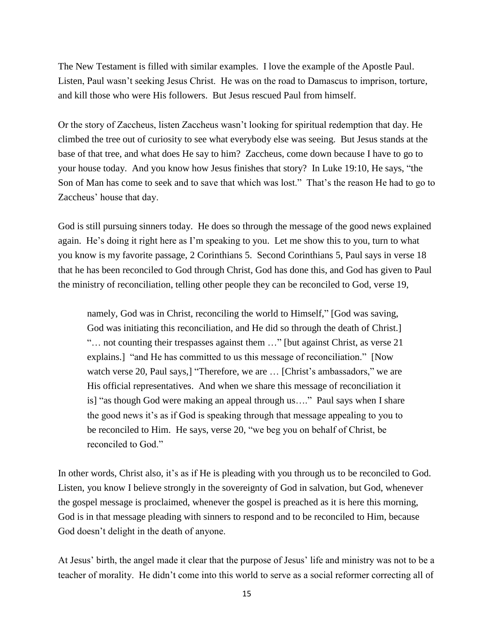The New Testament is filled with similar examples. I love the example of the Apostle Paul. Listen, Paul wasn't seeking Jesus Christ. He was on the road to Damascus to imprison, torture, and kill those who were His followers. But Jesus rescued Paul from himself.

Or the story of Zaccheus, listen Zaccheus wasn't looking for spiritual redemption that day. He climbed the tree out of curiosity to see what everybody else was seeing. But Jesus stands at the base of that tree, and what does He say to him? Zaccheus, come down because I have to go to your house today. And you know how Jesus finishes that story? In Luke 19:10, He says, "the Son of Man has come to seek and to save that which was lost." That's the reason He had to go to Zaccheus' house that day.

God is still pursuing sinners today. He does so through the message of the good news explained again. He's doing it right here as I'm speaking to you. Let me show this to you, turn to what you know is my favorite passage, 2 Corinthians 5. Second Corinthians 5, Paul says in verse 18 that he has been reconciled to God through Christ, God has done this, and God has given to Paul the ministry of reconciliation, telling other people they can be reconciled to God, verse 19,

namely, God was in Christ, reconciling the world to Himself," [God was saving, God was initiating this reconciliation, and He did so through the death of Christ.] "… not counting their trespasses against them …" [but against Christ, as verse 21 explains.] "and He has committed to us this message of reconciliation." [Now watch verse 20, Paul says,] "Therefore, we are ... [Christ's ambassadors," we are His official representatives. And when we share this message of reconciliation it is] "as though God were making an appeal through us…." Paul says when I share the good news it's as if God is speaking through that message appealing to you to be reconciled to Him. He says, verse 20, "we beg you on behalf of Christ, be reconciled to God."

In other words, Christ also, it's as if He is pleading with you through us to be reconciled to God. Listen, you know I believe strongly in the sovereignty of God in salvation, but God, whenever the gospel message is proclaimed, whenever the gospel is preached as it is here this morning, God is in that message pleading with sinners to respond and to be reconciled to Him, because God doesn't delight in the death of anyone.

At Jesus' birth, the angel made it clear that the purpose of Jesus' life and ministry was not to be a teacher of morality. He didn't come into this world to serve as a social reformer correcting all of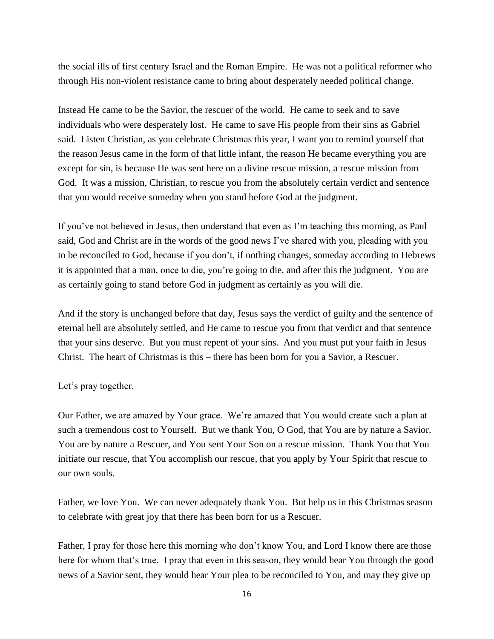the social ills of first century Israel and the Roman Empire. He was not a political reformer who through His non-violent resistance came to bring about desperately needed political change.

Instead He came to be the Savior, the rescuer of the world. He came to seek and to save individuals who were desperately lost. He came to save His people from their sins as Gabriel said. Listen Christian, as you celebrate Christmas this year, I want you to remind yourself that the reason Jesus came in the form of that little infant, the reason He became everything you are except for sin, is because He was sent here on a divine rescue mission, a rescue mission from God. It was a mission, Christian, to rescue you from the absolutely certain verdict and sentence that you would receive someday when you stand before God at the judgment.

If you've not believed in Jesus, then understand that even as I'm teaching this morning, as Paul said, God and Christ are in the words of the good news I've shared with you, pleading with you to be reconciled to God, because if you don't, if nothing changes, someday according to Hebrews it is appointed that a man, once to die, you're going to die, and after this the judgment. You are as certainly going to stand before God in judgment as certainly as you will die.

And if the story is unchanged before that day, Jesus says the verdict of guilty and the sentence of eternal hell are absolutely settled, and He came to rescue you from that verdict and that sentence that your sins deserve. But you must repent of your sins. And you must put your faith in Jesus Christ. The heart of Christmas is this – there has been born for you a Savior, a Rescuer.

## Let's pray together.

Our Father, we are amazed by Your grace. We're amazed that You would create such a plan at such a tremendous cost to Yourself. But we thank You, O God, that You are by nature a Savior. You are by nature a Rescuer, and You sent Your Son on a rescue mission. Thank You that You initiate our rescue, that You accomplish our rescue, that you apply by Your Spirit that rescue to our own souls.

Father, we love You. We can never adequately thank You. But help us in this Christmas season to celebrate with great joy that there has been born for us a Rescuer.

Father, I pray for those here this morning who don't know You, and Lord I know there are those here for whom that's true. I pray that even in this season, they would hear You through the good news of a Savior sent, they would hear Your plea to be reconciled to You, and may they give up